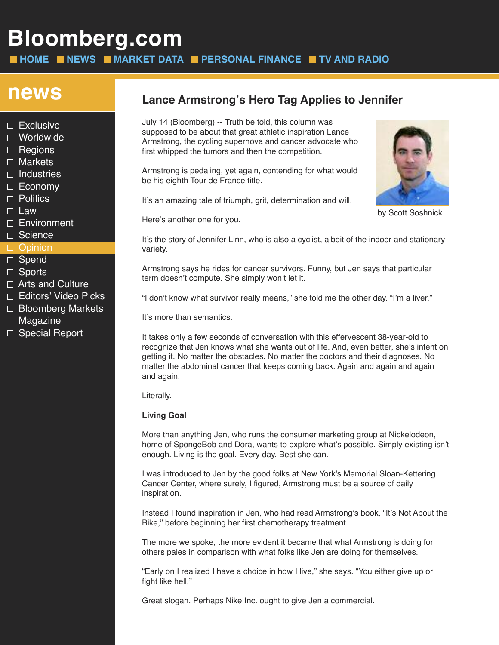# **Bloomberg.com**

**HOME NEWS MARKET DATA PERSONAL FINANCE TV AND RADIO**

- $\Box$  Exclusive
- □ Worldwide
- $\Box$  Regions
- □ Markets
- $\Box$  Industries
- $\Box$  Economy
- □ Politics
- $\square$  Law
- □ Environment
- □ Science

#### **D** Opinion

- □ Spend
- □ Sports
- $\Box$  Arts and Culture
- □ Editors' Video Picks
- $\Box$  Bloomberg Markets Magazine
- □ Special Report

## **news Lance Armstrong's Hero Tag Applies to Jennifer**

July 14 (Bloomberg) -- Truth be told, this column was supposed to be about that great athletic inspiration Lance Armstrong, the cycling supernova and cancer advocate who first whipped the tumors and then the competition.

Armstrong is pedaling, yet again, contending for what would be his eighth Tour de France title.

It's an amazing tale of triumph, grit, determination and will.

Here's another one for you.

It's the story of Jennifer Linn, who is also a cyclist, albeit of the indoor and stationary variety.

Armstrong says he rides for cancer survivors. Funny, but Jen says that particular term doesn't compute. She simply won't let it.

"I don't know what survivor really means," she told me the other day. "I'm a liver."

It's more than semantics.

It takes only a few seconds of conversation with this effervescent 38-year-old to recognize that Jen knows what she wants out of life. And, even better, she's intent on getting it. No matter the obstacles. No matter the doctors and their diagnoses. No matter the abdominal cancer that keeps coming back. Again and again and again and again.

Literally.

#### **Living Goal**

More than anything Jen, who runs the consumer marketing group at Nickelodeon, home of SpongeBob and Dora, wants to explore what's possible. Simply existing isn't enough. Living is the goal. Every day. Best she can.

I was introduced to Jen by the good folks at New York's Memorial Sloan-Kettering Cancer Center, where surely, I figured, Armstrong must be a source of daily inspiration.

Instead I found inspiration in Jen, who had read Armstrong's book, "It's Not About the Bike," before beginning her first chemotherapy treatment.

The more we spoke, the more evident it became that what Armstrong is doing for others pales in comparison with what folks like Jen are doing for themselves.

"Early on I realized I have a choice in how I live," she says. "You either give up or fight like hell."

Great slogan. Perhaps Nike Inc. ought to give Jen a commercial.



by Scott Soshnick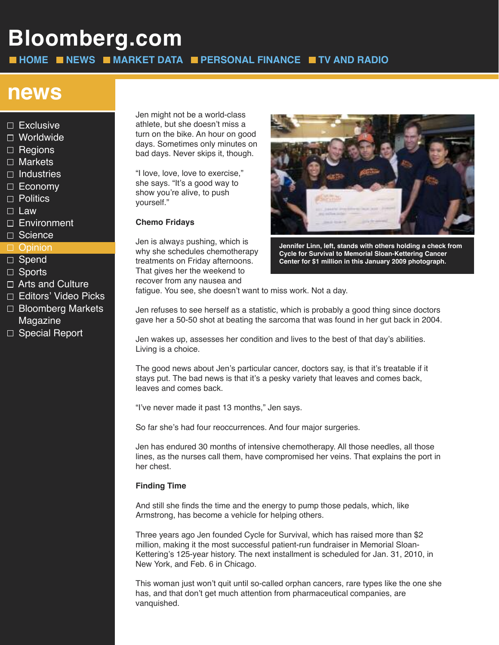# **Bloomberg.com**

**HOME NEWS MARKET DATA PERSONAL FINANCE TV AND RADIO**

### **news**

- $\square$  Exclusive
- □ Worldwide
- $\Box$  Regions
- □ Markets
- $\Box$  Industries
- $\Box$  Economy
- □ Politics
- $\square$  Law
- □ Environment
- □ Science

#### □ Opinion

- □ Spend
- □ Sports
- □ Arts and Culture
- □ Editors' Video Picks
- □ Bloomberg Markets Magazine
- □ Special Report

Jen might not be a world-class athlete, but she doesn't miss a turn on the bike. An hour on good days. Sometimes only minutes on bad days. Never skips it, though.

"I love, love, love to exercise," she says. "It's a good way to show you're alive, to push yourself."

#### **Chemo Fridays**

Jen is always pushing, which is why she schedules chemotherapy treatments on Friday afternoons. That gives her the weekend to recover from any nausea and



**Jennifer Linn, left, stands with others holding a check from Cycle for Survival to Memorial Sloan-Kettering Cancer Center for \$1 million in this January 2009 photograph.**

fatigue. You see, she doesn't want to miss work. Not a day.

Jen refuses to see herself as a statistic, which is probably a good thing since doctors gave her a 50-50 shot at beating the sarcoma that was found in her gut back in 2004.

Jen wakes up, assesses her condition and lives to the best of that day's abilities. Living is a choice.

The good news about Jen's particular cancer, doctors say, is that it's treatable if it stays put. The bad news is that it's a pesky variety that leaves and comes back, leaves and comes back.

"I've never made it past 13 months," Jen says.

So far she's had four reoccurrences. And four major surgeries.

Jen has endured 30 months of intensive chemotherapy. All those needles, all those lines, as the nurses call them, have compromised her veins. That explains the port in her chest.

#### **Finding Time**

And still she finds the time and the energy to pump those pedals, which, like Armstrong, has become a vehicle for helping others.

Three years ago Jen founded Cycle for Survival, which has raised more than \$2 million, making it the most successful patient-run fundraiser in Memorial Sloan-Kettering's 125-year history. The next installment is scheduled for Jan. 31, 2010, in New York, and Feb. 6 in Chicago.

This woman just won't quit until so-called orphan cancers, rare types like the one she has, and that don't get much attention from pharmaceutical companies, are vanquished.